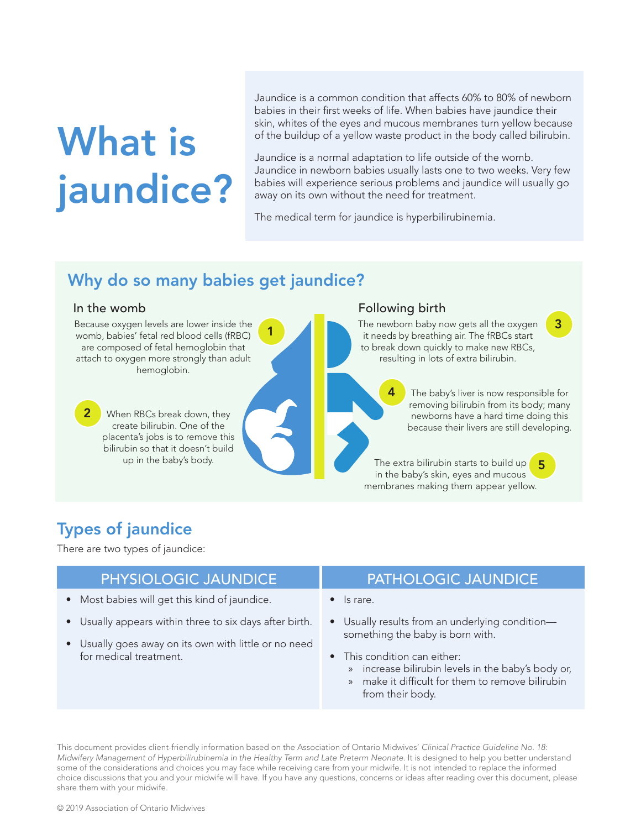# What is jaundice?

Jaundice is a common condition that affects 60% to 80% of newborn babies in their first weeks of life. When babies have jaundice their skin, whites of the eyes and mucous membranes turn yellow because of the buildup of a yellow waste product in the body called bilirubin.

Jaundice is a normal adaptation to life outside of the womb. Jaundice in newborn babies usually lasts one to two weeks. Very few babies will experience serious problems and jaundice will usually go away on its own without the need for treatment.

The medical term for jaundice is hyperbilirubinemia.

# Why do so many babies get jaundice?

2

Because oxygen levels are lower inside the womb, babies' fetal red blood cells (fRBC) are composed of fetal hemoglobin that attach to oxygen more strongly than adult hemoglobin.

> When RBCs break down, they create bilirubin. One of the placenta's jobs is to remove this bilirubin so that it doesn't build<br>up in the baby's body.

#### In the womb **Following birth**

4

The newborn baby now gets all the oxygen 3<br>
it needs by breathing air. The fRBCs start it needs by breathing air. The fRBCs start to break down quickly to make new RBCs, resulting in lots of extra bilirubin.

> The baby's liver is now responsible for removing bilirubin from its body; many newborns have a hard time doing this because their livers are still developing.

up in the baby's body. The extra bilirubin starts to build up 5 in the baby's skin, eyes and mucous membranes making them appear yellow.

# Types of jaundice

There are two types of jaundice:

- Most babies will get this kind of jaundice.
- Usually appears within three to six days after birth.
- Usually goes away on its own with little or no need for medical treatment.

## PHYSIOLOGIC JAUNDICE PATHOLOGIC JAUNDICE

- Is rare.
- Usually results from an underlying condition something the baby is born with.
- This condition can either:
	- » increase bilirubin levels in the baby's body or,
	- » make it difficult for them to remove bilirubin from their body.

This document provides client-friendly information based on the Association of Ontario Midwives' *Clinical Practice Guideline No. 18: Midwifery Management of Hyperbilirubinemia in the Healthy Term and Late Preterm Neonate.* It is designed to help you better understand some of the considerations and choices you may face while receiving care from your midwife. It is not intended to replace the informed choice discussions that you and your midwife will have. If you have any questions, concerns or ideas after reading over this document, please share them with your midwife.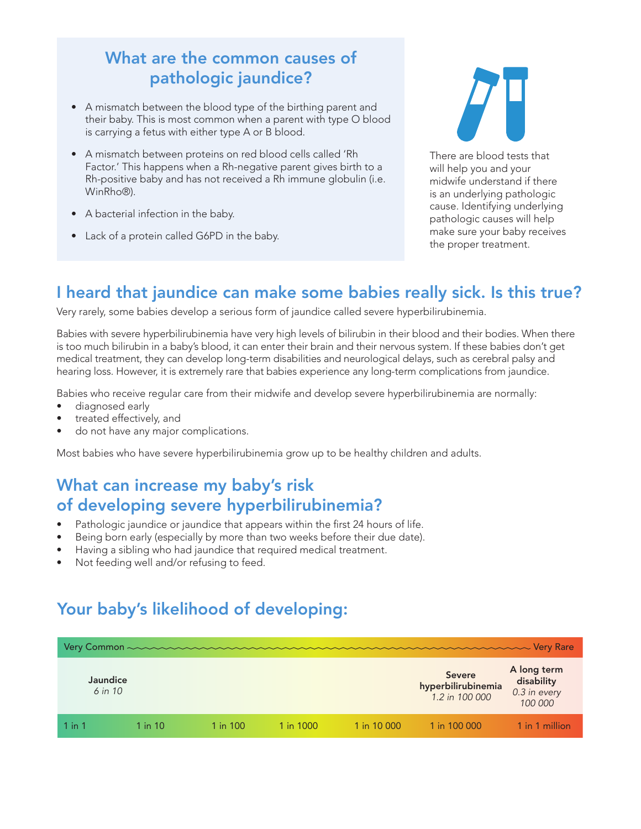# What are the common causes of pathologic jaundice?

- A mismatch between the blood type of the birthing parent and their baby. This is most common when a parent with type O blood is carrying a fetus with either type A or B blood.
- A mismatch between proteins on red blood cells called 'Rh Factor.' This happens when a Rh-negative parent gives birth to a Rh-positive baby and has not received a Rh immune globulin (i.e. WinRho®).
- A bacterial infection in the baby.
- Lack of a protein called G6PD in the baby.



There are blood tests that will help you and your midwife understand if there is an underlying pathologic cause. Identifying underlying pathologic causes will help make sure your baby receives the proper treatment.

# I heard that jaundice can make some babies really sick. Is this true?

Very rarely, some babies develop a serious form of jaundice called severe hyperbilirubinemia.

Babies with severe hyperbilirubinemia have very high levels of bilirubin in their blood and their bodies. When there is too much bilirubin in a baby's blood, it can enter their brain and their nervous system. If these babies don't get medical treatment, they can develop long-term disabilities and neurological delays, such as cerebral palsy and hearing loss. However, it is extremely rare that babies experience any long-term complications from jaundice.

Babies who receive regular care from their midwife and develop severe hyperbilirubinemia are normally:

- diagnosed early
- treated effectively, and
- do not have any major complications.

Most babies who have severe hyperbilirubinemia grow up to be healthy children and adults.

# What can increase my baby's risk of developing severe hyperbilirubinemia?

- Pathologic jaundice or jaundice that appears within the first 24 hours of life.
- Being born early (especially by more than two weeks before their due date).
- Having a sibling who had jaundice that required medical treatment.
- Not feeding well and/or refusing to feed.

# Your baby's likelihood of developing:

|            | Jaundice<br>$6$ in 10 |             |          |           |             | <b>Severe</b><br>hyperbilirubinemia<br>1.2 in 100 000 | A long term<br>disability<br>0.3 in every<br>100 000 |
|------------|-----------------------|-------------|----------|-----------|-------------|-------------------------------------------------------|------------------------------------------------------|
| $1$ in $1$ |                       | $1$ in $10$ | 1 in 100 | 1 in 1000 | 1 in 10 000 | 1 in 100 000                                          | 1 in 1 million                                       |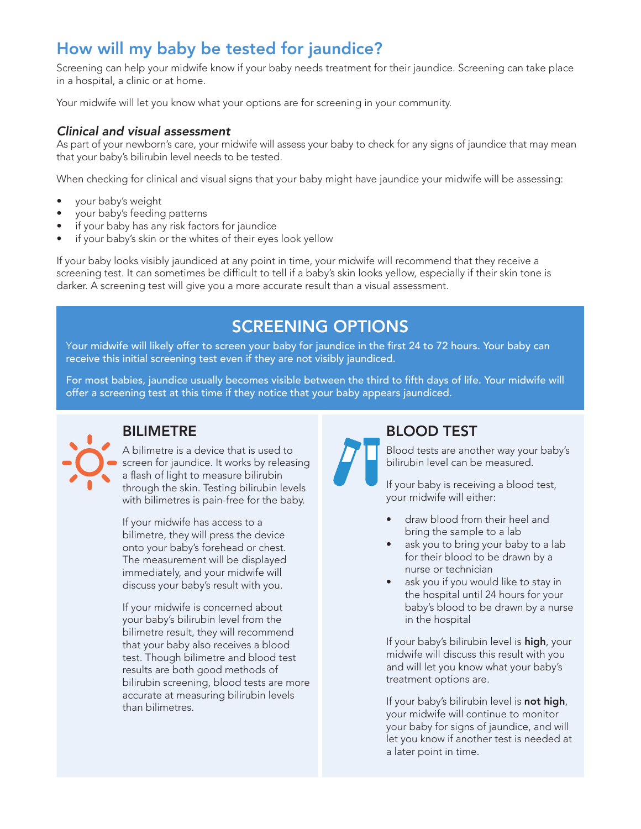# How will my baby be tested for jaundice?

Screening can help your midwife know if your baby needs treatment for their jaundice. Screening can take place in a hospital, a clinic or at home.

Your midwife will let you know what your options are for screening in your community.

### *Clinical and visual assessment*

As part of your newborn's care, your midwife will assess your baby to check for any signs of jaundice that may mean that your baby's bilirubin level needs to be tested.

When checking for clinical and visual signs that your baby might have jaundice your midwife will be assessing:

- your baby's weight
- your baby's feeding patterns
- if your baby has any risk factors for jaundice
- if your baby's skin or the whites of their eyes look yellow

If your baby looks visibly jaundiced at any point in time, your midwife will recommend that they receive a screening test. It can sometimes be difficult to tell if a baby's skin looks yellow, especially if their skin tone is darker. A screening test will give you a more accurate result than a visual assessment.

# SCREENING OPTIONS

Your midwife will likely offer to screen your baby for jaundice in the first 24 to 72 hours. Your baby can receive this initial screening test even if they are not visibly jaundiced.

For most babies, jaundice usually becomes visible between the third to fifth days of life. Your midwife will offer a screening test at this time if they notice that your baby appears jaundiced.



# BILIMETRE

A bilimetre is a device that is used to screen for jaundice. It works by releasing a flash of light to measure bilirubin through the skin. Testing bilirubin levels with bilimetres is pain-free for the baby.

If your midwife has access to a bilimetre, they will press the device onto your baby's forehead or chest. The measurement will be displayed immediately, and your midwife will discuss your baby's result with you.

If your midwife is concerned about your baby's bilirubin level from the bilimetre result, they will recommend that your baby also receives a blood test. Though bilimetre and blood test results are both good methods of bilirubin screening, blood tests are more accurate at measuring bilirubin levels than bilimetres.

# BLOOD TEST

Blood tests are another way your baby's bilirubin level can be measured.

If your baby is receiving a blood test, your midwife will either:

- draw blood from their heel and bring the sample to a lab
- ask you to bring your baby to a lab for their blood to be drawn by a nurse or technician
- ask you if you would like to stay in the hospital until 24 hours for your baby's blood to be drawn by a nurse in the hospital

If your baby's bilirubin level is **high**, your midwife will discuss this result with you and will let you know what your baby's treatment options are.

If your baby's bilirubin level is not high, your midwife will continue to monitor your baby for signs of jaundice, and will let you know if another test is needed at a later point in time.